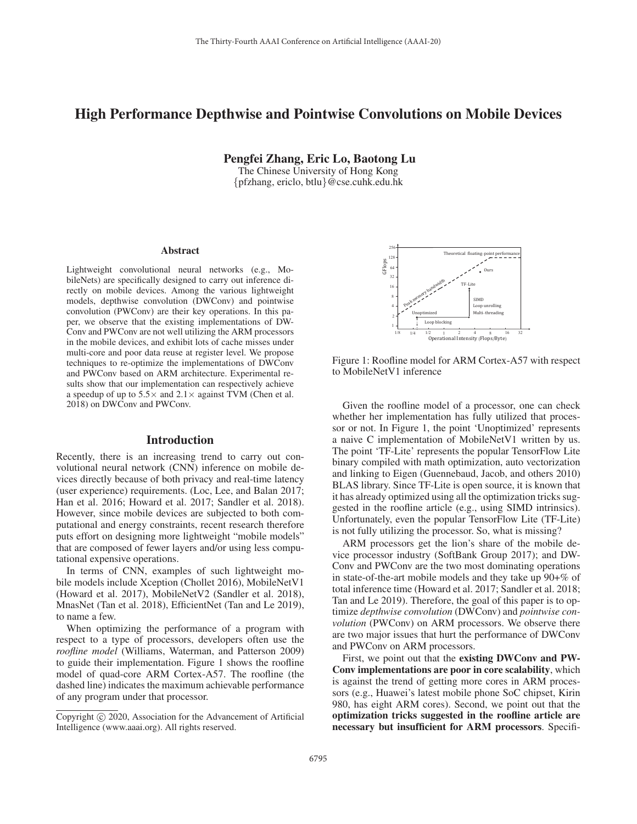# High Performance Depthwise and Pointwise Convolutions on Mobile Devices

Pengfei Zhang, Eric Lo, Baotong Lu

The Chinese University of Hong Kong {pfzhang, ericlo, btlu}@cse.cuhk.edu.hk

#### **Abstract**

Lightweight convolutional neural networks (e.g., MobileNets) are specifically designed to carry out inference directly on mobile devices. Among the various lightweight models, depthwise convolution (DWConv) and pointwise convolution (PWConv) are their key operations. In this paper, we observe that the existing implementations of DW-Conv and PWConv are not well utilizing the ARM processors in the mobile devices, and exhibit lots of cache misses under multi-core and poor data reuse at register level. We propose techniques to re-optimize the implementations of DWConv and PWConv based on ARM architecture. Experimental results show that our implementation can respectively achieve a speedup of up to  $5.5 \times$  and  $2.1 \times$  against TVM (Chen et al. 2018) on DWConv and PWConv.

# Introduction

Recently, there is an increasing trend to carry out convolutional neural network (CNN) inference on mobile devices directly because of both privacy and real-time latency (user experience) requirements. (Loc, Lee, and Balan 2017; Han et al. 2016; Howard et al. 2017; Sandler et al. 2018). However, since mobile devices are subjected to both computational and energy constraints, recent research therefore puts effort on designing more lightweight "mobile models" that are composed of fewer layers and/or using less computational expensive operations.

In terms of CNN, examples of such lightweight mobile models include Xception (Chollet 2016), MobileNetV1 (Howard et al. 2017), MobileNetV2 (Sandler et al. 2018), MnasNet (Tan et al. 2018), EfficientNet (Tan and Le 2019), to name a few.

When optimizing the performance of a program with respect to a type of processors, developers often use the *roofline model* (Williams, Waterman, and Patterson 2009) to guide their implementation. Figure 1 shows the roofline model of quad-core ARM Cortex-A57. The roofline (the dashed line) indicates the maximum achievable performance of any program under that processor.

- $\frac{1}{4}$  $\overline{\mathbf{x}}$  $16$ 32 64  $12$  $\overline{8}$ -56  $\overline{1}$  $1/4$  $\frac{1}{2}$  1 2 4 8 16 32<br>Operational Intensity (Flops/Byte) 32 T) F-Lite GFlops  $\overline{T}$ heor etical floating-point per for mance Peak memor y bandwidth **Unontimized** Loop blocking .<br>-thre eading Loop unrolling SIM<sub>D</sub> 0ur ś

Figure 1: Roofline model for ARM Cortex-A57 with respect to MobileNetV1 inference

Given the roofline model of a processor, one can check whether her implementation has fully utilized that processor or not. In Figure 1, the point 'Unoptimized' represents a naive C implementation of MobileNetV1 written by us. The point 'TF-Lite' represents the popular TensorFlow Lite binary compiled with math optimization, auto vectorization and linking to Eigen (Guennebaud, Jacob, and others 2010) BLAS library. Since TF-Lite is open source, it is known that it has already optimized using all the optimization tricks suggested in the roofline article (e.g., using SIMD intrinsics). Unfortunately, even the popular TensorFlow Lite (TF-Lite) is not fully utilizing the processor. So, what is missing?

ARM processors get the lion's share of the mobile device processor industry (SoftBank Group 2017); and DW-Conv and PWConv are the two most dominating operations in state-of-the-art mobile models and they take up 90+% of total inference time (Howard et al. 2017; Sandler et al. 2018; Tan and Le 2019). Therefore, the goal of this paper is to optimize *depthwise convolution* (DWConv) and *pointwise convolution* (PWConv) on ARM processors. We observe there are two major issues that hurt the performance of DWConv and PWConv on ARM processors.

First, we point out that the existing DWConv and PW-Conv implementations are poor in core scalability, which is against the trend of getting more cores in ARM processors (e.g., Huawei's latest mobile phone SoC chipset, Kirin 980, has eight ARM cores). Second, we point out that the optimization tricks suggested in the roofline article are necessary but insufficient for ARM processors. Specifi-

Copyright  $\odot$  2020, Association for the Advancement of Artificial Intelligence (www.aaai.org). All rights reserved.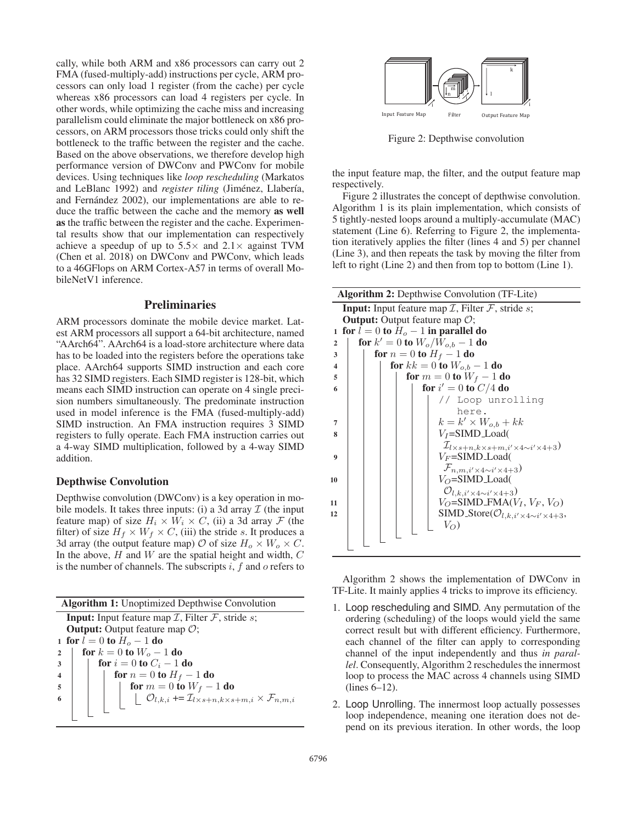cally, while both ARM and x86 processors can carry out 2 FMA (fused-multiply-add) instructions per cycle, ARM processors can only load 1 register (from the cache) per cycle whereas x86 processors can load 4 registers per cycle. In other words, while optimizing the cache miss and increasing parallelism could eliminate the major bottleneck on x86 processors, on ARM processors those tricks could only shift the bottleneck to the traffic between the register and the cache. Based on the above observations, we therefore develop high performance version of DWConv and PWConv for mobile devices. Using techniques like *loop rescheduling* (Markatos and LeBlanc 1992) and *register tiling* (Jiménez, Llabería, and Fernández 2002), our implementations are able to reduce the traffic between the cache and the memory as well as the traffic between the register and the cache. Experimental results show that our implementation can respectively achieve a speedup of up to  $5.5\times$  and  $2.1\times$  against TVM (Chen et al. 2018) on DWConv and PWConv, which leads to a 46GFlops on ARM Cortex-A57 in terms of overall MobileNetV1 inference.

## Preliminaries

ARM processors dominate the mobile device market. Latest ARM processors all support a 64-bit architecture, named "AArch64". AArch64 is a load-store architecture where data has to be loaded into the registers before the operations take place. AArch64 supports SIMD instruction and each core has 32 SIMD registers. Each SIMD register is 128-bit, which means each SIMD instruction can operate on 4 single precision numbers simultaneously. The predominate instruction used in model inference is the FMA (fused-multiply-add) SIMD instruction. An FMA instruction requires 3 SIMD registers to fully operate. Each FMA instruction carries out a 4-way SIMD multiplication, followed by a 4-way SIMD addition.

# Depthwise Convolution

Depthwise convolution (DWConv) is a key operation in mobile models. It takes three inputs: (i) a 3d array  $\mathcal I$  (the input feature map) of size  $H_i \times W_i \times C$ , (ii) a 3d array  $\mathcal F$  (the filter) of size  $H_f \times W_f \times C$ , (iii) the stride s. It produces a 3d array (the output feature map)  $\mathcal{O}$  of size  $H_0 \times W_0 \times C$ . In the above,  $H$  and  $W$  are the spatial height and width,  $C$ is the number of channels. The subscripts  $i, f$  and  $o$  refers to

| <b>Algorithm 1:</b> Unoptimized Depthwise Convolution                                                                  |  |  |
|------------------------------------------------------------------------------------------------------------------------|--|--|
| <b>Input:</b> Input feature map $I$ , Filter $F$ , stride s;                                                           |  |  |
| <b>Output:</b> Output feature map $\mathcal{O}$ ;                                                                      |  |  |
| 1 for $l = 0$ to $H_0 - 1$ do                                                                                          |  |  |
| for $k = 0$ to $W_o - 1$ do<br>$\overline{2}$                                                                          |  |  |
| for $i = 0$ to $C_i - 1$ do<br>3                                                                                       |  |  |
| for $n = 0$ to $H_f - 1$ do                                                                                            |  |  |
| for $m = 0$ to $W_f - 1$ do<br>-5                                                                                      |  |  |
| $\big $ $\bigcup \mathcal{O}_{l,k,i} \rightarrow \mathcal{I}_{l \times s+n,k \times s+m,i} \times \mathcal{F}_{n,m,i}$ |  |  |
|                                                                                                                        |  |  |
|                                                                                                                        |  |  |



Figure 2: Depthwise convolution

the input feature map, the filter, and the output feature map respectively.

Figure 2 illustrates the concept of depthwise convolution. Algorithm 1 is its plain implementation, which consists of 5 tightly-nested loops around a multiply-accumulate (MAC) statement (Line 6). Referring to Figure 2, the implementation iteratively applies the filter (lines 4 and 5) per channel (Line 3), and then repeats the task by moving the filter from left to right (Line 2) and then from top to bottom (Line 1).

| <b>Algorithm 2:</b> Depthwise Convolution (TF-Lite) |                                                                     |  |
|-----------------------------------------------------|---------------------------------------------------------------------|--|
|                                                     | <b>Input:</b> Input feature map $I$ , Filter $F$ , stride s;        |  |
|                                                     | <b>Output:</b> Output feature map $\mathcal{O}$ ;                   |  |
| $\mathbf{1}$                                        | for $l = 0$ to $Ho - 1$ in parallel do                              |  |
| $\overline{2}$                                      | for $k' = 0$ to $W_o/W_{o,b} - 1$ do                                |  |
| 3                                                   | for $n = 0$ to $H_f - 1$ do                                         |  |
| $\boldsymbol{4}$                                    | <b>for</b> $kk = 0$ <b>to</b> $W_{o,b} - 1$ <b>do</b>               |  |
| 5                                                   | for $m = 0$ to $W_f - 1$ do                                         |  |
| 6                                                   | for $i' = 0$ to $C/4$ do                                            |  |
|                                                     | // Loop unrolling                                                   |  |
|                                                     | here.                                                               |  |
| 7                                                   | $k = k' \times W_{o,b} + kk$                                        |  |
| 8                                                   | $V_I = SIMD\_Load($                                                 |  |
|                                                     | $\mathcal{I}_{l\times s+n,k\times s+m,i'\times 4\sim i'\times 4+3}$ |  |
| 9                                                   | $V_F = SIMD\_Load($                                                 |  |
|                                                     | $\mathcal{F}_{n,m,i'\times 4\sim i'\times 4+3}$                     |  |
| 10                                                  | $V_O = SIMD\_Load($                                                 |  |
|                                                     | $\mathcal{O}_{l,k,i' \times 4 \sim i' \times 4+3}$                  |  |
| 11                                                  | $V_O = SIMD$ -FMA $(V_I, V_F, V_O)$                                 |  |
| 12                                                  | SIMD_Store( $\mathcal{O}_{l,k,i' \times 4 \sim i' \times 4+3}$ ,    |  |
|                                                     | $V_O$                                                               |  |
|                                                     |                                                                     |  |
|                                                     |                                                                     |  |

Algorithm 2 shows the implementation of DWConv in TF-Lite. It mainly applies 4 tricks to improve its efficiency.

- 1. Loop rescheduling and SIMD. Any permutation of the ordering (scheduling) of the loops would yield the same correct result but with different efficiency. Furthermore, each channel of the filter can apply to corresponding channel of the input independently and thus *in parallel*. Consequently, Algorithm 2 reschedules the innermost loop to process the MAC across 4 channels using SIMD (lines 6–12).
- 2. Loop Unrolling. The innermost loop actually possesses loop independence, meaning one iteration does not depend on its previous iteration. In other words, the loop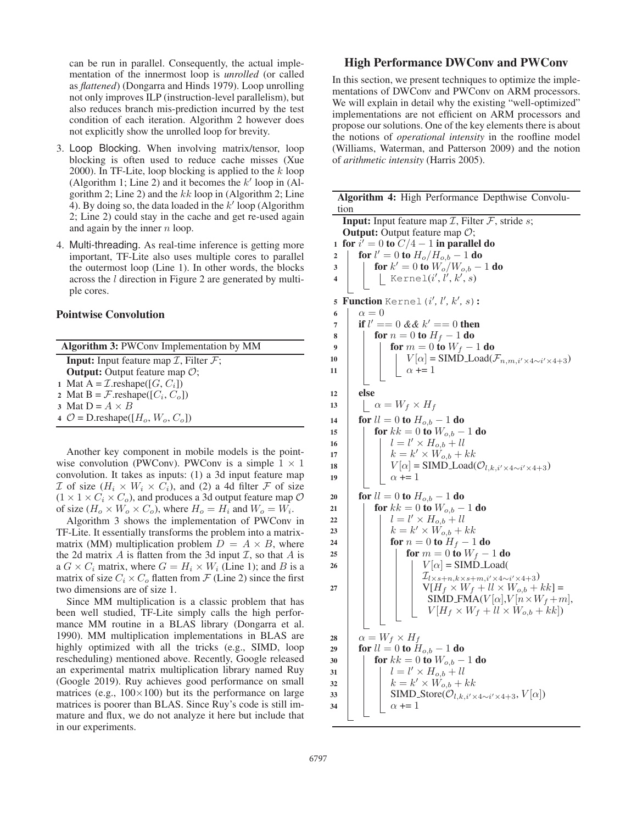can be run in parallel. Consequently, the actual implementation of the innermost loop is *unrolled* (or called as *flattened*) (Dongarra and Hinds 1979). Loop unrolling not only improves ILP (instruction-level parallelism), but also reduces branch mis-prediction incurred by the test condition of each iteration. Algorithm 2 however does not explicitly show the unrolled loop for brevity.

- 3. Loop Blocking. When involving matrix/tensor, loop blocking is often used to reduce cache misses (Xue 2000). In TF-Lite, loop blocking is applied to the  $k$  loop (Algorithm 1; Line 2) and it becomes the  $k'$  loop in (Algorithm 2; Line 2) and the kk loop in (Algorithm 2; Line gorithm 2; Line 2) and the  $kk$  loop in (Algorithm 2; Line 4). By doing so, the data loaded in the  $k'$  loop (Algorithm 2: Line 2) could stay in the cache and get re-used again 2; Line 2) could stay in the cache and get re-used again and again by the inner  $n$  loop.
- 4. Multi-threading. As real-time inference is getting more important, TF-Lite also uses multiple cores to parallel the outermost loop (Line 1). In other words, the blocks across the l direction in Figure 2 are generated by multiple cores.

## Pointwise Convolution

| <b>Algorithm 3: PWConv Implementation by MM</b>                        |  |  |
|------------------------------------------------------------------------|--|--|
| <b>Input:</b> Input feature map $\mathcal{I}$ , Filter $\mathcal{F}$ ; |  |  |
| <b>Output:</b> Output feature map $\mathcal{O}$ ;                      |  |  |
| 1 Mat A = $\mathcal{I}$ .reshape([G, C <sub>i</sub> ])                 |  |  |
| 2 Mat B = $\mathcal{F}$ .reshape([ $C_i$ , $C_o$ ])                    |  |  |
| 3 Mat $D = A \times B$                                                 |  |  |
| 4 $\mathcal{O} = \text{D}$ .reshape([ $H_o$ , $W_o$ , $C_o$ ])         |  |  |
|                                                                        |  |  |

Another key component in mobile models is the pointwise convolution (PWConv). PWConv is a simple  $1 \times 1$ convolution. It takes as inputs: (1) a 3d input feature map  $\mathcal I$  of size  $(H_i \times W_i \times C_i)$ , and (2) a 4d filter  $\mathcal F$  of size  $(1 \times 1 \times C_i \times C_o)$ , and produces a 3d output feature map  $O$ of size  $(H_o \times W_o \times C_o)$ , where  $H_o = H_i$  and  $W_o = W_i$ .

Algorithm 3 shows the implementation of PWConv in TF-Lite. It essentially transforms the problem into a matrixmatrix (MM) multiplication problem  $D = A \times B$ , where the 2d matrix  $A$  is flatten from the 3d input  $I$ , so that  $A$  is a  $G \times C_i$  matrix, where  $G = H_i \times W_i$  (Line 1); and B is a matrix of size  $C_i \times C_o$  flatten from  $\mathcal F$  (Line 2) since the first two dimensions are of size 1.

Since MM multiplication is a classic problem that has been well studied, TF-Lite simply calls the high performance MM routine in a BLAS library (Dongarra et al. 1990). MM multiplication implementations in BLAS are highly optimized with all the tricks (e.g., SIMD, loop rescheduling) mentioned above. Recently, Google released an experimental matrix multiplication library named Ruy (Google 2019). Ruy achieves good performance on small matrices (e.g.,  $100 \times 100$ ) but its the performance on large matrices is poorer than BLAS. Since Ruy's code is still immature and flux, we do not analyze it here but include that in our experiments.

# High Performance DWConv and PWConv

In this section, we present techniques to optimize the implementations of DWConv and PWConv on ARM processors. We will explain in detail why the existing "well-optimized" implementations are not efficient on ARM processors and propose our solutions. One of the key elements there is about the notions of *operational intensity* in the roofline model (Williams, Waterman, and Patterson 2009) and the notion of *arithmetic intensity* (Harris 2005).

|                                                                 | Algorithm 4: High Performance Depthwise Convolu-                                                 |  |  |  |
|-----------------------------------------------------------------|--------------------------------------------------------------------------------------------------|--|--|--|
| tion                                                            |                                                                                                  |  |  |  |
| <b>Input:</b> Input feature map $I$ , Filter $F$ , stride $s$ ; |                                                                                                  |  |  |  |
|                                                                 | <b>Output:</b> Output feature map $O$ ;                                                          |  |  |  |
| 1                                                               | for $i' = 0$ to $C/4 - 1$ in parallel do                                                         |  |  |  |
| 2                                                               | for $l' = 0$ to $H_o/H_{o,b} - 1$ do                                                             |  |  |  |
| 3                                                               | <b>for</b> $k' = 0$ to $W_o/W_{o,b} - 1$ do                                                      |  |  |  |
| $\overline{\mathbf{4}}$                                         | Kernel $(i', l', k', s)$                                                                         |  |  |  |
|                                                                 |                                                                                                  |  |  |  |
| 5                                                               | <b>Function</b> Kernel $(i', l', k', s)$ :                                                       |  |  |  |
| 6                                                               | $\alpha = 0$                                                                                     |  |  |  |
| 7                                                               | if $l' == 0 \&\& k' == 0$ then                                                                   |  |  |  |
| 8                                                               | for $n=0$ to $H_f-1$ do                                                                          |  |  |  |
| 9                                                               | for $m = 0$ to $W_f - 1$ do                                                                      |  |  |  |
| 10                                                              | $V[\alpha]$ = SIMD Load( $\mathcal{F}_{n,m,i'\times 4\sim i'\times 4+3}$ )<br>$\alpha$ += 1      |  |  |  |
| 11                                                              |                                                                                                  |  |  |  |
| 12                                                              | else                                                                                             |  |  |  |
| 13                                                              | $\alpha = W_f \times H_f$                                                                        |  |  |  |
|                                                                 |                                                                                                  |  |  |  |
| 14                                                              | <b>for</b> $ll = 0$ <b>to</b> $H_{o,b} - 1$ <b>do</b>                                            |  |  |  |
| 15                                                              | <b>for</b> $kk = 0$ <b>to</b> $W_{o,b} - 1$ <b>do</b>                                            |  |  |  |
| 16                                                              | $l = l' \times H_{o,b} + ll$                                                                     |  |  |  |
| 17                                                              | $k = k' \times W_{o,b} + kk$                                                                     |  |  |  |
| 18<br>19                                                        | $V[\alpha]$ = SIMD Load( $\mathcal{O}_{l,k,i' \times 4 \sim i' \times 4+3}$ )<br>$\alpha$ += 1   |  |  |  |
|                                                                 |                                                                                                  |  |  |  |
| 20                                                              | <b>for</b> $ll = 0$ <b>to</b> $H_{o,b} - 1$ <b>do</b>                                            |  |  |  |
| 21                                                              | <b>for</b> $kk = 0$ <b>to</b> $W_{o,b} - 1$ <b>do</b>                                            |  |  |  |
| 22                                                              | $l = l' \times H_{o,b} + ll$                                                                     |  |  |  |
| 23                                                              | $k = k' \times W_{o,b} + kk$                                                                     |  |  |  |
| 24                                                              | for $n=0$ to $H_f-1$ do                                                                          |  |  |  |
| 25                                                              | for $m = 0$ to $W_f - 1$ do                                                                      |  |  |  |
| 26                                                              | $V[\alpha]$ = SIMD Load(                                                                         |  |  |  |
|                                                                 | $\mathcal{I}_{l\times s+n,k\times s+m,i'\times 4\sim i'\times 4+3})$                             |  |  |  |
| 27                                                              | $V[H_f \times W_f + ll \times W_{o,b} + kk] =$                                                   |  |  |  |
|                                                                 | SIMD_FMA( $V[\alpha]$ , $V[n \times W_f + m]$ ,<br>$V[H_f \times W_f + ll \times W_{o,b} + kk])$ |  |  |  |
|                                                                 |                                                                                                  |  |  |  |
|                                                                 |                                                                                                  |  |  |  |
| 28                                                              | $\alpha = W_f \times H_f$                                                                        |  |  |  |
| 29                                                              | <b>for</b> $ll = 0$ <b>to</b> $H_{o,b} - 1$ <b>do</b>                                            |  |  |  |
| 30                                                              | <b>for</b> $kk = 0$ <b>to</b> $W_{o,b} - 1$ <b>do</b>                                            |  |  |  |
| 31                                                              | $l = l' \times H_{o,b} + ll$                                                                     |  |  |  |
| 32                                                              | $k = k' \times W_{o,b} + kk$                                                                     |  |  |  |
| 33<br>34                                                        | SIMD_Store( $\mathcal{O}_{l,k,i'\times 4\sim i'\times 4+3}$ , $V[\alpha]$ )<br>$\alpha$ += 1     |  |  |  |
|                                                                 |                                                                                                  |  |  |  |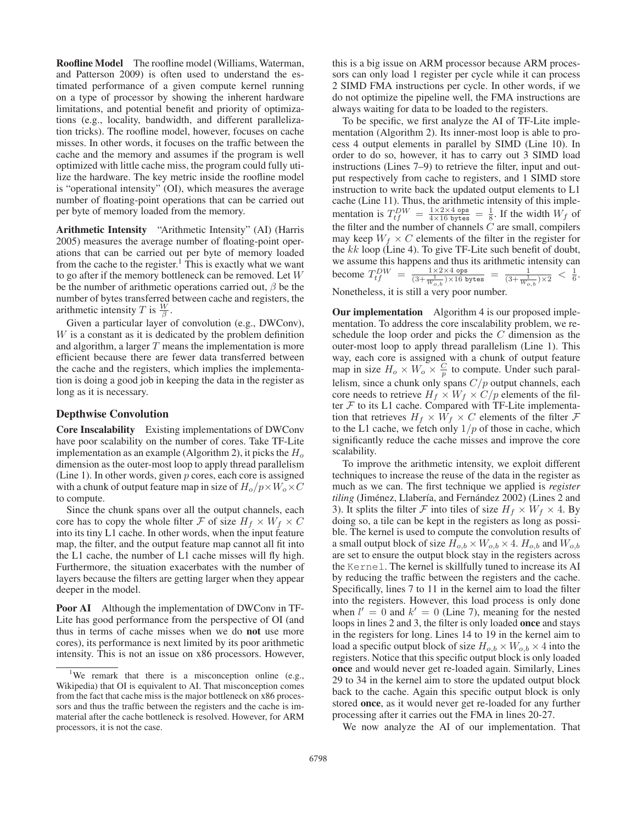Roofline Model The roofline model (Williams, Waterman, and Patterson 2009) is often used to understand the estimated performance of a given compute kernel running on a type of processor by showing the inherent hardware limitations, and potential benefit and priority of optimizations (e.g., locality, bandwidth, and different parallelization tricks). The roofline model, however, focuses on cache misses. In other words, it focuses on the traffic between the cache and the memory and assumes if the program is well optimized with little cache miss, the program could fully utilize the hardware. The key metric inside the roofline model is "operational intensity" (OI), which measures the average number of floating-point operations that can be carried out per byte of memory loaded from the memory.

Arithmetic Intensity "Arithmetic Intensity" (AI) (Harris 2005) measures the average number of floating-point operations that can be carried out per byte of memory loaded from the cache to the register.<sup>1</sup> This is exactly what we want to go after if the memory bottleneck can be removed. Let W be the number of arithmetic operations carried out,  $\beta$  be the number of bytes transferred between cache and registers, the arithmetic intensity T is  $\frac{W}{\beta}$ .<br>Given a particular layer

Given a particular layer of convolution (e.g., DWConv), W is a constant as it is dedicated by the problem definition and algorithm, a larger  $T$  means the implementation is more efficient because there are fewer data transferred between the cache and the registers, which implies the implementation is doing a good job in keeping the data in the register as long as it is necessary.

### Depthwise Convolution

Core Inscalability Existing implementations of DWConv have poor scalability on the number of cores. Take TF-Lite implementation as an example (Algorithm 2), it picks the  $H<sub>o</sub>$ dimension as the outer-most loop to apply thread parallelism (Line 1). In other words, given  $p$  cores, each core is assigned with a chunk of output feature map in size of  $H_o/p \times W_o \times C$ to compute.

Since the chunk spans over all the output channels, each core has to copy the whole filter F of size  $H_f \times W_f \times C$ into its tiny L1 cache. In other words, when the input feature map, the filter, and the output feature map cannot all fit into the L1 cache, the number of L1 cache misses will fly high. Furthermore, the situation exacerbates with the number of layers because the filters are getting larger when they appear deeper in the model.

Poor AI Although the implementation of DWConv in TF-Lite has good performance from the perspective of OI (and thus in terms of cache misses when we do not use more cores), its performance is next limited by its poor arithmetic intensity. This is not an issue on x86 processors. However,

this is a big issue on ARM processor because ARM processors can only load 1 register per cycle while it can process 2 SIMD FMA instructions per cycle. In other words, if we do not optimize the pipeline well, the FMA instructions are always waiting for data to be loaded to the registers.

To be specific, we first analyze the AI of TF-Lite implementation (Algorithm 2). Its inner-most loop is able to process 4 output elements in parallel by SIMD (Line 10). In order to do so, however, it has to carry out 3 SIMD load instructions (Lines 7–9) to retrieve the filter, input and output respectively from cache to registers, and 1 SIMD store instruction to write back the updated output elements to L1 cache (Line 11). Thus, the arithmetic intensity of this implementation is  $T_0^{DW} = \frac{1 \times 2 \times 4 \text{ ops}}{4 \times 16 \text{ bytes}} = \frac{1}{8}$ . If the width  $W_f$  of the filter and the number of channels  $C$  are small, compilers may keep  $W_f \times C$  elements of the filter in the register for the kk loop (Line 4). To give TF-Lite such benefit of doubt, the  $kk$  loop (Line 4). To give TF-Lite such benefit of doubt, we assume this happens and thus its arithmetic intensity can become  $T_{tf}^{DW} = \frac{1 \times 2 \times 4 \text{ ops}}{(3 + \frac{1}{W_{o,b}}) \times 16 \text{ bytes}} = \frac{1}{(3 + \frac{1}{W_{o,b}}) \times 2} < \frac{1}{6}$ . Nonetheless, it is still a very poor number.

Our implementation Algorithm 4 is our proposed implementation. To address the core inscalability problem, we reschedule the loop order and picks the C dimension as the outer-most loop to apply thread parallelism (Line 1). This way, each core is assigned with a chunk of output feature map in size  $H_o \times W_o \times \frac{C}{p}$  to compute. Under such paral-<br>lating since a shunk only gone  $C/n$  output shapeds, assh lelism, since a chunk only spans  $C/p$  output channels, each core needs to retrieve  $H_f \times W_f \times C/p$  elements of the filter  $F$  to its L1 cache. Compared with TF-Lite implementation that retrieves  $H_f \times W_f \times C$  elements of the filter  $\mathcal F$ to the L1 cache, we fetch only  $1/p$  of those in cache, which significantly reduce the cache misses and improve the core

To improve the arithmetic intensity, we exploit different techniques to increase the reuse of the data in the register as much as we can. The first technique we applied is *register tiling* (Jiménez, Llabería, and Fernández 2002) (Lines 2 and 3). It splits the filter F into tiles of size  $H_f \times W_f \times 4$ . By doing so, a tile can be kept in the registers as long as possible. The kernel is used to compute the convolution results of a small output block of size  $H_{o,b} \times W_{o,b} \times 4$ .  $H_{o,b}$  and  $W_{o,b}$ are set to ensure the output block stay in the registers across the Kernel. The kernel is skillfully tuned to increase its AI by reducing the traffic between the registers and the cache. Specifically, lines 7 to 11 in the kernel aim to load the filter into the registers. However, this load process is only done when  $l' = 0$  and  $k' = 0$  (Line 7), meaning for the nested<br>loops in lines 2 and 3 the filter is only loaded **once** and stays loops in lines 2 and 3, the filter is only loaded once and stays in the registers for long. Lines 14 to 19 in the kernel aim to load a specific output block of size  $H_{o,b} \times W_{o,b} \times 4$  into the registers. Notice that this specific output block is only loaded once and would never get re-loaded again. Similarly, Lines 29 to 34 in the kernel aim to store the updated output block back to the cache. Again this specific output block is only stored once, as it would never get re-loaded for any further processing after it carries out the FMA in lines 20-27.

We now analyze the AI of our implementation. That

scalability.

<sup>&</sup>lt;sup>1</sup>We remark that there is a misconception online (e.g., Wikipedia) that OI is equivalent to AI. That misconception comes from the fact that cache miss is the major bottleneck on x86 processors and thus the traffic between the registers and the cache is immaterial after the cache bottleneck is resolved. However, for ARM processors, it is not the case.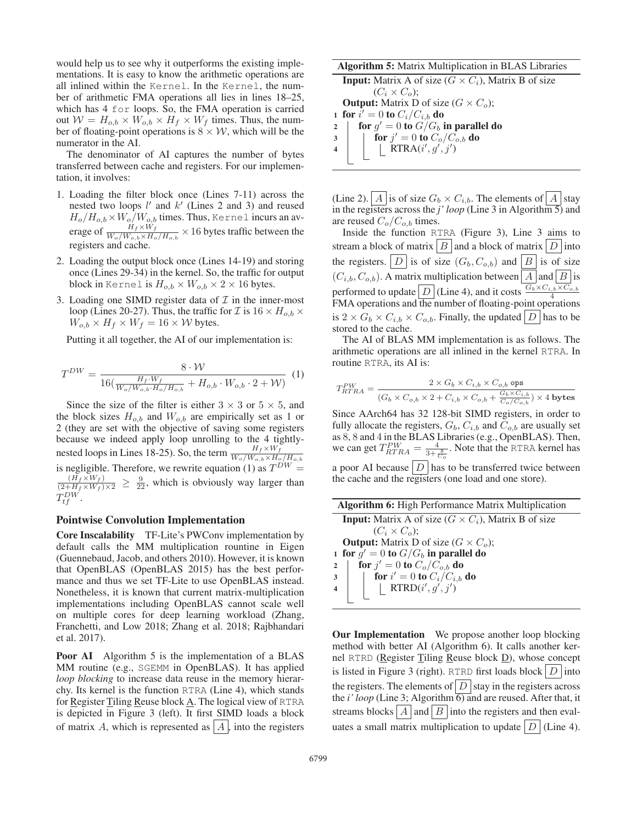would help us to see why it outperforms the existing implementations. It is easy to know the arithmetic operations are all inlined within the Kernel. In the Kernel, the number of arithmetic FMA operations all lies in lines 18–25, which has 4 for loops. So, the FMA operation is carried out  $W = H_{o,b} \times W_{o,b} \times H_f \times W_f$  times. Thus, the number of floating-point operations is  $8 \times W$ , which will be the numerator in the AI.

The denominator of AI captures the number of bytes transferred between cache and registers. For our implementation, it involves:

- 1. Loading the filter block once (Lines 7-11) across the nested two loops l' and k' (Lines 2 and 3) and reused<br> $H_+(H_{\alpha,k} \times W_+(W_{\alpha,k}$  times Thus Kernel incurs an av- $H_o/H_{o,b} \times W_o/W_{o,b}$  times. Thus, Kernel incurs an average of  $\frac{H_f \times W_f}{W_o/W_{o,b} \times H_o/H_{o,b}} \times 16$  bytes traffic between the registers and cache.
- 2. Loading the output block once (Lines 14-19) and storing once (Lines 29-34) in the kernel. So, the traffic for output block in Kernel is  $H_{o,b} \times W_{o,b} \times 2 \times 16$  bytes.
- 3. Loading one SIMD register data of  $\mathcal I$  in the inner-most loop (Lines 20-27). Thus, the traffic for  $\mathcal{I}$  is  $16 \times H_{o,b} \times$  $W_{o,b} \times H_f \times W_f = 16 \times W$  bytes.

Putting it all together, the AI of our implementation is:

$$
T^{DW} = \frac{8 \cdot \mathcal{W}}{16(\frac{H_f \cdot W_f}{W_o/W_{o,b} \cdot H_o/H_{o,b}} + H_{o,b} \cdot W_{o,b} \cdot 2 + \mathcal{W})} (1)
$$

Since the size of the filter is either  $3 \times 3$  or  $5 \times 5$ , and the block sizes  $H_{o,b}$  and  $W_{o,b}$  are empirically set as 1 or 2 (they are set with the objective of saving some registers because we indeed apply loop unrolling to the 4 tightlynested loops in Lines 18-25). So, the term  $\frac{H_f \times W_f}{W_o/W_{o,b} \times H_o/H_{o,b}}$ is negligible. Therefore, we rewrite equation (1) as  $T^{DW}$  =  $\frac{(H_f \times W_f)}{(2+H_f \times W_f) \times 2} \geq \frac{9}{22}$ , which is obviously way larger than  $T_{tf}^{DW}$ .

#### Pointwise Convolution Implementation

Core Inscalability TF-Lite's PWConv implementation by default calls the MM multiplication rountine in Eigen (Guennebaud, Jacob, and others 2010). However, it is known that OpenBLAS (OpenBLAS 2015) has the best performance and thus we set TF-Lite to use OpenBLAS instead. Nonetheless, it is known that current matrix-multiplication implementations including OpenBLAS cannot scale well on multiple cores for deep learning workload (Zhang, Franchetti, and Low 2018; Zhang et al. 2018; Rajbhandari et al. 2017).

**Poor AI** Algorithm 5 is the implementation of a BLAS MM routine (e.g., SGEMM in OpenBLAS). It has applied *loop blocking* to increase data reuse in the memory hierarchy. Its kernel is the function RTRA (Line 4), which stands for Register Tiling Reuse block A. The logical view of RTRA is depicted in Figure 3 (left). It first SIMD loads a block of matrix A, which is represented as  $|A|$ , into the registers

#### Algorithm 5: Matrix Multiplication in BLAS Libraries

**Input:** Matrix A of size  $(G \times C_i)$ , Matrix B of size  $(C_i \times C_o);$ **Output:** Matrix D of size  $(G \times C_o)$ ; 1 for  $i' = 0$  to  $C_i/C_{i,b}$  do<br>
2  $\blacksquare$  for  $a' = 0$  to  $G/G_{i,b}$ 2 for  $g' = 0$  to  $G/G_b$  in parallel do<br>  $\begin{array}{c} \n\frac{1}{2} \quad \text{for } i' = 0 \text{ to } C_a/G_{c,b} \text{ do} \n\end{array}$  $\begin{array}{c|c} \mathbf{3} & \mathbf{for} \; j' = 0 \; \mathbf{to} \; C_o/C_{o,b} \; \mathbf{do} \\ \hline \mathbf{4} & \mathbf{R} \; \mathbf{TR} \; \mathbf{A}(i' \; a' \; j') \end{array}$  $\begin{array}{|c|c|c|}\n\hline\n\text{1} & \quad \text{RTRA}(i', g', j')\n\hline\n\end{array}$ 

(Line 2).  $|A|$  is of size  $G_b \times C_{i,b}$ . The elements of  $|A|$  stay in the registers across the  $j'$  *loop* (Line 3 in Algorithm  $\overline{5}$ ) and are reused  $C_o/C_{o,b}$  times.

Inside the function RTRA (Figure 3), Line 3 aims to stream a block of matrix  $\mid B \mid$  and a block of matrix  $\mid D \mid$  into the registers.  $|D|$  is of size  $(G_b, C_{o,b})$  and  $|B|$  is of size  $(C_{i,b}, C_{o,b})$ . A matrix multiplication between  $|A|$  and  $|B|$  is performed to update  $\boxed{D}$  (Line 4), and it costs  $\frac{G_b \times C_{i,b} \times C_{o,b}}{4}$ <br>FMA operations and the number of floating-point operations FMA operations and the number of floating-point operations is  $2 \times G_b \times C_{i,b} \times C_{o,b}$ . Finally, the updated  $|D|$  has to be stored to the cache.

The AI of BLAS MM implementation is as follows. The arithmetic operations are all inlined in the kernel RTRA. In routine RTRA, its AI is:

$$
T^{PW}_{RTRA} = \frac{2 \times G_b \times C_{i,b} \times C_{o,b} \text{ ops}}{(G_b \times C_{o,b} \times 2 + C_{i,b} \times C_{o,b} + \frac{G_b \times C_{i,b}}{C_o/C_{o,b}}) \times 4 \text{ bytes}}
$$

Since AArch64 has 32 128-bit SIMD registers, in order to fully allocate the registers,  $G_b$ ,  $C_{i,b}$  and  $C_{o,b}$  are usually set as 8, 8 and 4 in the BLAS Libraries (e.g., OpenBLAS). Then, we can get  $T_{RTRA}^{PW} = \frac{4}{3 + \frac{8}{C_o}}$ . Note that the RTRA kernel has a poor AI because  $|D|$  has to be transferred twice between the cache and the registers (one load and one store).

| <b>Algorithm 6:</b> High Performance Matrix Multiplication                                                                                                                  |  |  |
|-----------------------------------------------------------------------------------------------------------------------------------------------------------------------------|--|--|
| <b>Input:</b> Matrix A of size $(G \times C_i)$ , Matrix B of size                                                                                                          |  |  |
| $(C_i \times C_o)$ :                                                                                                                                                        |  |  |
| <b>Output:</b> Matrix D of size $(G \times C_o)$ ;                                                                                                                          |  |  |
| 1 for $g' = 0$ to $G/G_b$ in parallel do                                                                                                                                    |  |  |
| for $j' = 0$ to $C_o/C_{o,b}$ do<br>$\overline{2}$                                                                                                                          |  |  |
| $\begin{array}{ c c } \hline \textbf{for } i'=0 \textbf{ to } C_i/C_{i,b} \textbf{ do} \\ \hline & \textbf{RTRD}(i',g',j') \\\hline \end{array}$<br>$\overline{\mathbf{3}}$ |  |  |
| $4 \mid$                                                                                                                                                                    |  |  |
|                                                                                                                                                                             |  |  |

**Our Implementation** We propose another loop blocking method with better AI (Algorithm 6). It calls another kernel RTRD (Register Tiling Reuse block  $\underline{D}$ ), whose concept is listed in Figure 3 (right). RTRD first loads block  $|D|$  into the registers. The elements of  $\left|D\right|$  stay in the registers across the *i' loop* (Line 3; Algorithm  $\overline{6}$ ) and are reused. After that, it streams blocks  $\left| A \right|$  and  $\left| B \right|$  into the registers and then evaluates a small matrix multiplication to update  $|D|$  (Line 4).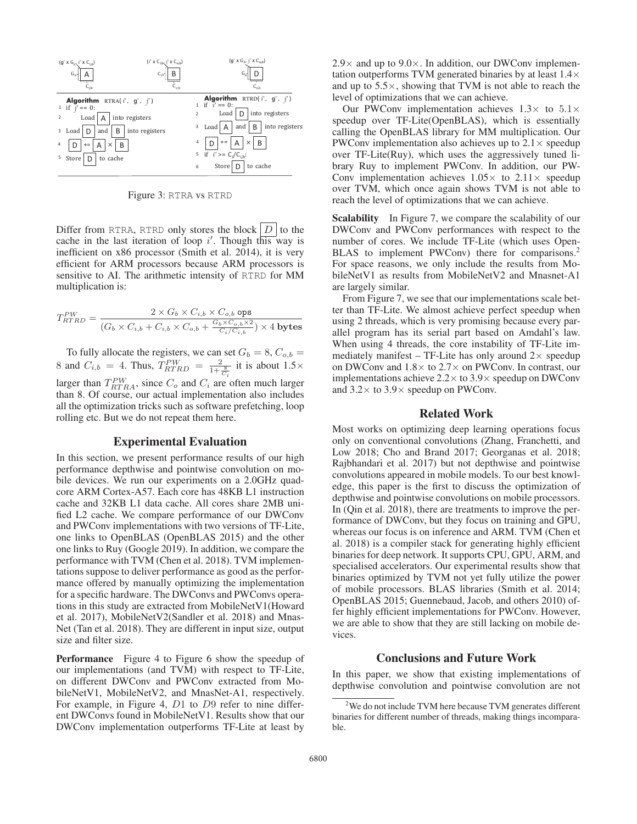

Figure 3: RTRA vs RTRD

Differ from RTRA, RTRD only stores the block  $|D|$  to the cache in the last iteration of loop  $i'$ . Though this way is<br>inefficient on x86 processor (Smith et al. 2014) it is very inefficient on x86 processor (Smith et al. 2014), it is very efficient for ARM processors because ARM processors is sensitive to AI. The arithmetic intensity of RTRD for MM multiplication is:

$$
T^{PW}_{RTRD} = \frac{2 \times G_b \times C_{i,b} \times C_{o,b} \text{ ops}}{(G_b \times C_{i,b} + C_{i,b} \times C_{o,b} + \frac{G_b \times C_{o,b} \times 2}{C_i/C_{i,b}}) \times 4 \text{ bytes}}
$$

To fully allocate the registers, we can set  $G_b = 8$ ,  $C_{o,b} =$ <br>and  $C_{b,b} = 4$ . Thus  $T_{b,b} = 2$  it is about  $1.5 \times$ 8 and  $C_{i,b} = 4$ . Thus,  $T_{RTRD}^{PW} = \frac{2}{1+\frac{8}{C_i}}$  it is about  $1.5 \times$ larger than  $T_{RTRA}^{PW}$ , since  $C_o$  and  $C_i$  are often much larger than 8. Of course, our actual implementation also includes than 8. Of course, our actual implementation also includes all the optimization tricks such as software prefetching, loop rolling etc. But we do not repeat them here.

## Experimental Evaluation

In this section, we present performance results of our high performance depthwise and pointwise convolution on mobile devices. We run our experiments on a 2.0GHz quadcore ARM Cortex-A57. Each core has 48KB L1 instruction cache and 32KB L1 data cache. All cores share 2MB unified L2 cache. We compare performance of our DWConv and PWConv implementations with two versions of TF-Lite, one links to OpenBLAS (OpenBLAS 2015) and the other one links to Ruy (Google 2019). In addition, we compare the performance with TVM (Chen et al. 2018). TVM implementations suppose to deliver performance as good as the performance offered by manually optimizing the implementation for a specific hardware. The DWConvs and PWConvs operations in this study are extracted from MobileNetV1(Howard et al. 2017), MobileNetV2(Sandler et al. 2018) and Mnas-Net (Tan et al. 2018). They are different in input size, output size and filter size.

Performance Figure 4 to Figure 6 show the speedup of our implementations (and TVM) with respect to TF-Lite, on different DWConv and PWConv extracted from MobileNetV1, MobileNetV2, and MnasNet-A1, respectively. For example, in Figure 4, D<sup>1</sup> to D<sup>9</sup> refer to nine different DWConvs found in MobileNetV1. Results show that our DWConv implementation outperforms TF-Lite at least by

 $2.9\times$  and up to  $9.0\times$ . In addition, our DWConv implementation outperforms TVM generated binaries by at least 1.4× and up to  $5.5 \times$ , showing that TVM is not able to reach the level of optimizations that we can achieve.

Our PWConv implementation achieves  $1.3\times$  to  $5.1\times$ speedup over TF-Lite(OpenBLAS), which is essentially calling the OpenBLAS library for MM multiplication. Our PWConv implementation also achieves up to  $2.1 \times$  speedup over TF-Lite(Ruy), which uses the aggressively tuned library Ruy to implement PWConv. In addition, our PW-Conv implementation achieves  $1.05\times$  to  $2.11\times$  speedup over TVM, which once again shows TVM is not able to reach the level of optimizations that we can achieve.

Scalability In Figure 7, we compare the scalability of our DWConv and PWConv performances with respect to the number of cores. We include TF-Lite (which uses Open-BLAS to implement PWConv) there for comparisons.<sup>2</sup> For space reasons, we only include the results from MobileNetV1 as results from MobileNetV2 and Mnasnet-A1 are largely similar.

From Figure 7, we see that our implementations scale better than TF-Lite. We almost achieve perfect speedup when using 2 threads, which is very promising because every parallel program has its serial part based on Amdahl's law. When using 4 threads, the core instability of TF-Lite immediately manifest – TF-Lite has only around  $2 \times$  speedup on DWConv and  $1.8 \times$  to  $2.7 \times$  on PWConv. In contrast, our implementations achieve  $2.2 \times$  to  $3.9 \times$  speedup on DWConv and  $3.2 \times$  to  $3.9 \times$  speedup on PWConv.

# Related Work

Most works on optimizing deep learning operations focus only on conventional convolutions (Zhang, Franchetti, and Low 2018; Cho and Brand 2017; Georganas et al. 2018; Rajbhandari et al. 2017) but not depthwise and pointwise convolutions appeared in mobile models. To our best knowledge, this paper is the first to discuss the optimization of depthwise and pointwise convolutions on mobile processors. In (Qin et al. 2018), there are treatments to improve the performance of DWConv, but they focus on training and GPU, whereas our focus is on inference and ARM. TVM (Chen et al. 2018) is a compiler stack for generating highly efficient binaries for deep network. It supports CPU, GPU, ARM, and specialised accelerators. Our experimental results show that binaries optimized by TVM not yet fully utilize the power of mobile processors. BLAS libraries (Smith et al. 2014; OpenBLAS 2015; Guennebaud, Jacob, and others 2010) offer highly efficient implementations for PWConv. However, we are able to show that they are still lacking on mobile devices.

# Conclusions and Future Work

In this paper, we show that existing implementations of depthwise convolution and pointwise convolution are not

<sup>&</sup>lt;sup>2</sup>We do not include TVM here because TVM generates different binaries for different number of threads, making things incomparable.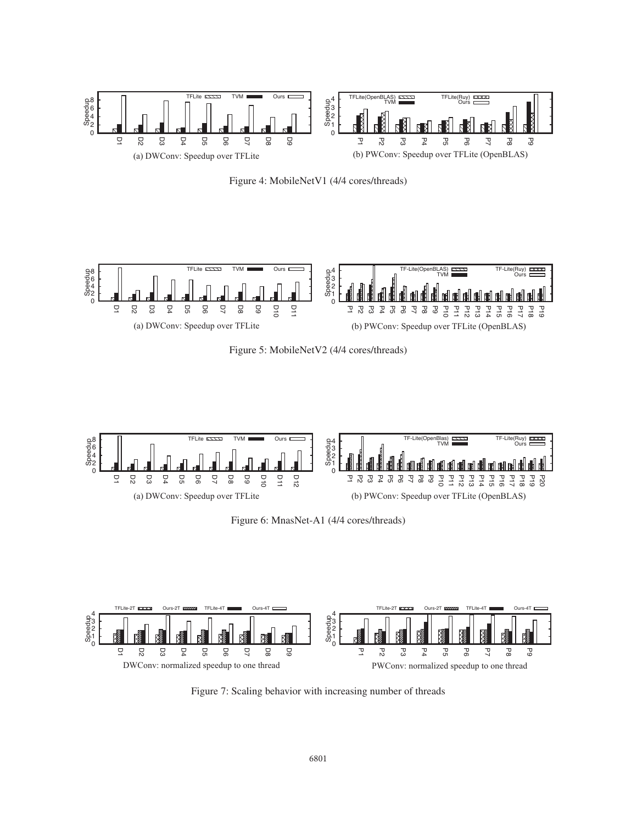

Figure 4: MobileNetV1 (4/4 cores/threads)



Figure 5: MobileNetV2 (4/4 cores/threads)



Figure 6: MnasNet-A1 (4/4 cores/threads)



Figure 7: Scaling behavior with increasing number of threads